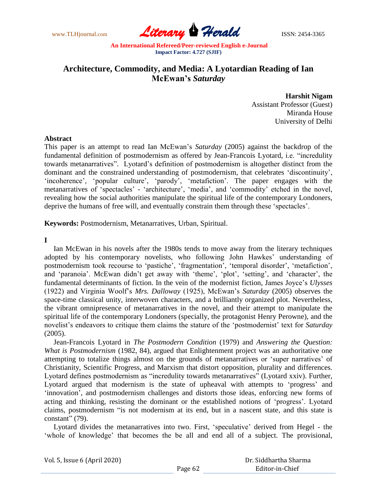www.TLHjournal.com **Literary Perald ISSN: 2454-3365** 

# **Architecture, Commodity, and Media: A Lyotardian Reading of Ian McEwan's** *Saturday*

**Harshit Nigam**  Assistant Professor (Guest) Miranda House University of Delhi

## **Abstract**

This paper is an attempt to read Ian McEwan"s *Saturday* (2005) against the backdrop of the fundamental definition of postmodernism as offered by Jean-Francois Lyotard, i.e. "incredulity towards metanarratives". Lyotard"s definition of postmodernism is altogether distinct from the dominant and the constrained understanding of postmodernism, that celebrates "discontinuity", 'incoherence', 'popular culture', 'parody', 'metafiction'. The paper engages with the metanarratives of 'spectacles' - 'architecture', 'media', and 'commodity' etched in the novel, revealing how the social authorities manipulate the spiritual life of the contemporary Londoners, deprive the humans of free will, and eventually constrain them through these "spectacles".

**Keywords:** Postmodernism, Metanarratives, Urban, Spiritual.

**I**

Ian McEwan in his novels after the 1980s tends to move away from the literary techniques adopted by his contemporary novelists, who following John Hawkes' understanding of postmodernism took recourse to 'pastiche', 'fragmentation', 'temporal disorder', 'metafiction', and 'paranoia'. McEwan didn't get away with 'theme', 'plot', 'setting', and 'character', the fundamental determinants of fiction. In the vein of the modernist fiction, James Joyce"s *Ulysses* (1922) and Virginia Woolf"s *Mrs. Dalloway* (1925), McEwan"s *Saturday* (2005) observes the space-time classical unity, interwoven characters, and a brilliantly organized plot. Nevertheless, the vibrant omnipresence of metanarratives in the novel, and their attempt to manipulate the spiritual life of the contemporary Londoners (specially, the protagonist Henry Perowne), and the novelist's endeavors to critique them claims the stature of the 'postmodernist' text for *Saturday* (2005).

Jean-Francois Lyotard in *The Postmodern Condition* (1979) and *Answering the Question: What is Postmodernism* (1982, 84), argued that Enlightenment project was an authoritative one attempting to totalize things almost on the grounds of metanarratives or "super narratives" of Christianity, Scientific Progress, and Marxism that distort opposition, plurality and differences. Lyotard defines postmodernism as "incredulity towards metanarratives" (Lyotard xxiv). Further, Lyotard argued that modernism is the state of upheaval with attempts to "progress" and 'innovation', and postmodernism challenges and distorts those ideas, enforcing new forms of acting and thinking, resisting the dominant or the established notions of "progress". Lyotard claims, postmodernism "is not modernism at its end, but in a nascent state, and this state is constant" (79).

Lyotard divides the metanarratives into two. First, "speculative" derived from Hegel - the 'whole of knowledge' that becomes the be all and end all of a subject. The provisional,

Vol. 5, Issue 6 (April 2020)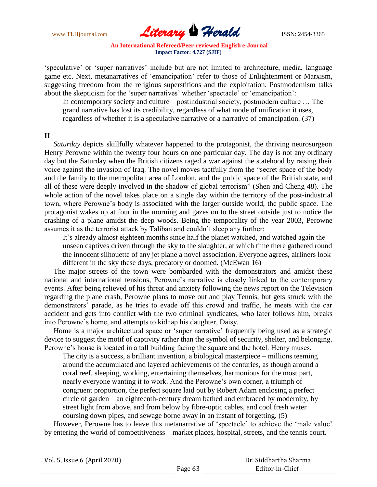

"speculative" or "super narratives" include but are not limited to architecture, media, language game etc. Next, metanarratives of "emancipation" refer to those of Enlightenment or Marxism, suggesting freedom from the religious superstitions and the exploitation. Postmodernism talks about the skepticism for the 'super narratives' whether 'spectacle' or 'emancipation':

In contemporary society and culture – postindustrial society, postmodern culture … The grand narrative has lost its credibility, regardless of what mode of unification it uses, regardless of whether it is a speculative narrative or a narrative of emancipation. (37)

## **II**

*Saturday* depicts skillfully whatever happened to the protagonist, the thriving neurosurgeon Henry Perowne within the twenty four hours on one particular day. The day is not any ordinary day but the Saturday when the British citizens raged a war against the statehood by raising their voice against the invasion of Iraq. The novel moves tactfully from the "secret space of the body and the family to the metropolitan area of London, and the public space of the British state, and all of these were deeply involved in the shadow of global terrorism" (Shen and Cheng 48). The whole action of the novel takes place on a single day within the territory of the post-industrial town, where Perowne's body is associated with the larger outside world, the public space. The protagonist wakes up at four in the morning and gazes on to the street outside just to notice the crashing of a plane amidst the deep woods. Being the temporality of the year 2003, Perowne assumes it as the terrorist attack by Taliban and couldn"t sleep any further:

It's already almost eighteen months since half the planet watched, and watched again the unseen captives driven through the sky to the slaughter, at which time there gathered round the innocent silhouette of any jet plane a novel association. Everyone agrees, airliners look different in the sky these days, predatory or doomed. (McEwan 16)

 The major streets of the town were bombarded with the demonstrators and amidst these national and international tensions, Perowne"s narrative is closely linked to the contemporary events. After being relieved of his threat and anxiety following the news report on the Television regarding the plane crash, Perowne plans to move out and play Tennis, but gets struck with the demonstrators" parade, as he tries to evade off this crowd and traffic, he meets with the car accident and gets into conflict with the two criminal syndicates, who later follows him, breaks into Perowne"s home, and attempts to kidnap his daughter, Daisy.

Home is a major architectural space or 'super narrative' frequently being used as a strategic device to suggest the motif of captivity rather than the symbol of security, shelter, and belonging. Perowne's house is located in a tall building facing the square and the hotel. Henry muses,

 The city is a success, a brilliant invention, a biological masterpiece – millions teeming around the accumulated and layered achievements of the centuries, as though around a coral reef, sleeping, working, entertaining themselves, harmonious for the most part, nearly everyone wanting it to work. And the Perowne"s own corner, a triumph of congruent proportion, the perfect square laid out by Robert Adam enclosing a perfect circle of garden – an eighteenth-century dream bathed and embraced by modernity, by street light from above, and from below by fibre-optic cables, and cool fresh water coursing down pipes, and sewage borne away in an instant of forgetting. (5)

However, Perowne has to leave this metanarrative of 'spectacle' to achieve the 'male value' by entering the world of competitiveness – market places, hospital, streets, and the tennis court.

Vol. 5, Issue 6 (April 2020)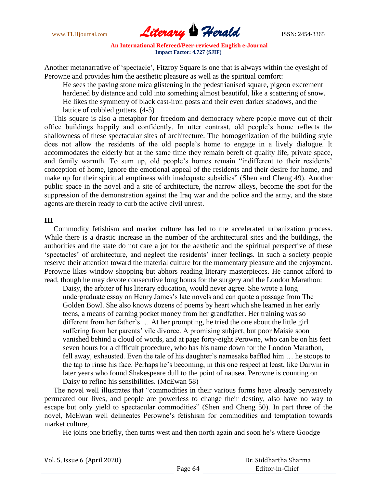

Another metanarrative of "spectacle", Fitzroy Square is one that is always within the eyesight of Perowne and provides him the aesthetic pleasure as well as the spiritual comfort:

 He sees the paving stone mica glistening in the pedestrianised square, pigeon excrement hardened by distance and cold into something almost beautiful, like a scattering of snow. He likes the symmetry of black cast-iron posts and their even darker shadows, and the lattice of cobbled gutters. (4-5)

 This square is also a metaphor for freedom and democracy where people move out of their office buildings happily and confidently. In utter contrast, old people"s home reflects the shallowness of these spectacular sites of architecture. The homogenization of the building style does not allow the residents of the old people"s home to engage in a lively dialogue. It accommodates the elderly but at the same time they remain bereft of quality life, private space, and family warmth. To sum up, old people's homes remain "indifferent to their residents" conception of home, ignore the emotional appeal of the residents and their desire for home, and make up for their spiritual emptiness with inadequate subsidies" (Shen and Cheng 49). Another public space in the novel and a site of architecture, the narrow alleys, become the spot for the suppression of the demonstration against the Iraq war and the police and the army, and the state agents are therein ready to curb the active civil unrest.

### **III**

 Commodity fetishism and market culture has led to the accelerated urbanization process. While there is a drastic increase in the number of the architectural sites and the buildings, the authorities and the state do not care a jot for the aesthetic and the spiritual perspective of these "spectacles" of architecture, and neglect the residents" inner feelings. In such a society people reserve their attention toward the material culture for the momentary pleasure and the enjoyment. Perowne likes window shopping but abhors reading literary masterpieces. He cannot afford to read, though he may devote consecutive long hours for the surgery and the London Marathon:

 Daisy, the arbiter of his literary education, would never agree. She wrote a long undergraduate essay on Henry James's late novels and can quote a passage from The Golden Bowl. She also knows dozens of poems by heart which she learned in her early teens, a means of earning pocket money from her grandfather. Her training was so different from her father"s … At her prompting, he tried the one about the little girl suffering from her parents' vile divorce. A promising subject, but poor Maisie soon vanished behind a cloud of words, and at page forty-eight Perowne, who can be on his feet seven hours for a difficult procedure, who has his name down for the London Marathon, fell away, exhausted. Even the tale of his daughter's namesake baffled him ... he stoops to the tap to rinse his face. Perhaps he"s becoming, in this one respect at least, like Darwin in later years who found Shakespeare dull to the point of nausea. Perowne is counting on Daisy to refine his sensibilities. (McEwan 58)

 The novel well illustrates that "commodities in their various forms have already pervasively permeated our lives, and people are powerless to change their destiny, also have no way to escape but only yield to spectacular commodities" (Shen and Cheng 50). In part three of the novel, McEwan well delineates Perowne"s fetishism for commodities and temptation towards market culture,

He joins one briefly, then turns west and then north again and soon he's where Goodge

| Vol. 5, Issue 6 (April 2020) |  |  |
|------------------------------|--|--|
|------------------------------|--|--|